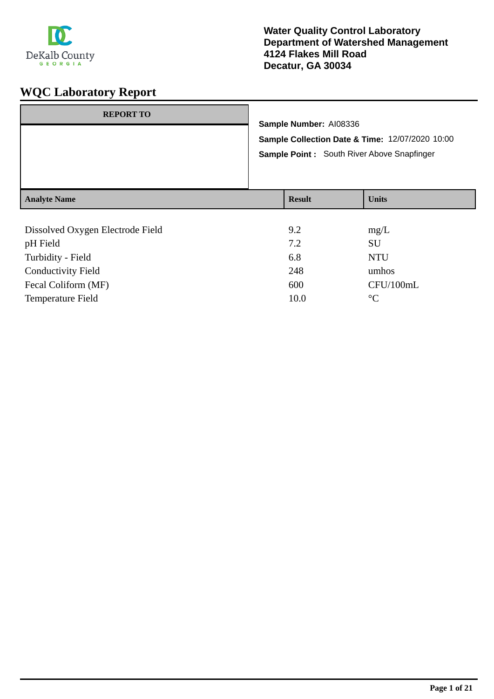

| <b>REPORT TO</b>    | Sample Number: AI08336<br>Sample Point: South River Above Snapfinger | Sample Collection Date & Time: 12/07/2020 10:00 |
|---------------------|----------------------------------------------------------------------|-------------------------------------------------|
| <b>Analyte Name</b> | <b>Result</b>                                                        | <b>Units</b>                                    |
|                     |                                                                      |                                                 |

| Dissolved Oxygen Electrode Field | 9.2  | mg/L            |
|----------------------------------|------|-----------------|
| pH Field                         | 7.2  | <b>SU</b>       |
| Turbidity - Field                | 6.8  | <b>NTU</b>      |
| <b>Conductivity Field</b>        | 248  | umhos           |
| Fecal Coliform (MF)              | 600  | CFU/100mL       |
| <b>Temperature Field</b>         | 10.0 | $\rm ^{\circ}C$ |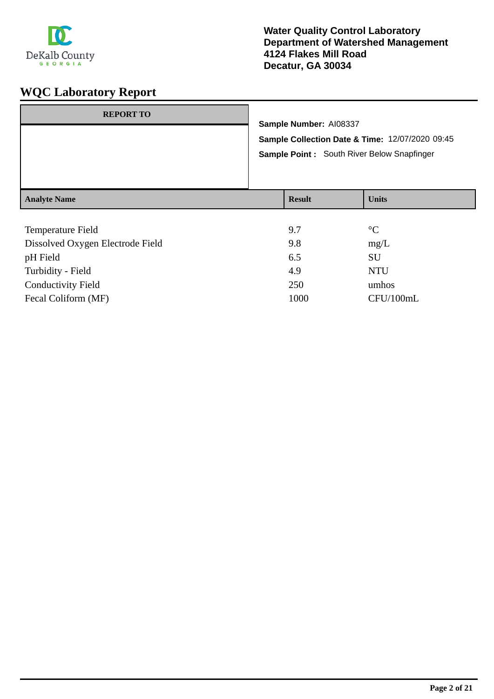

| <b>Analyte Name</b> |                                                                           | <b>Result</b> | <b>Units</b> |
|---------------------|---------------------------------------------------------------------------|---------------|--------------|
|                     | Sample Point: South River Below Snapfinger                                |               |              |
|                     | Sample Number: AI08337<br>Sample Collection Date & Time: 12/07/2020 09:45 |               |              |
| <b>REPORT TO</b>    |                                                                           |               |              |

| Temperature Field                | 9.7  | $\rm ^{\circ}C$ |
|----------------------------------|------|-----------------|
| Dissolved Oxygen Electrode Field | 9.8  | mg/L            |
| pH Field                         | 6.5  | SU              |
| Turbidity - Field                | 4.9  | <b>NTU</b>      |
| <b>Conductivity Field</b>        | 250  | umhos           |
| Fecal Coliform (MF)              | 1000 | CFU/100mL       |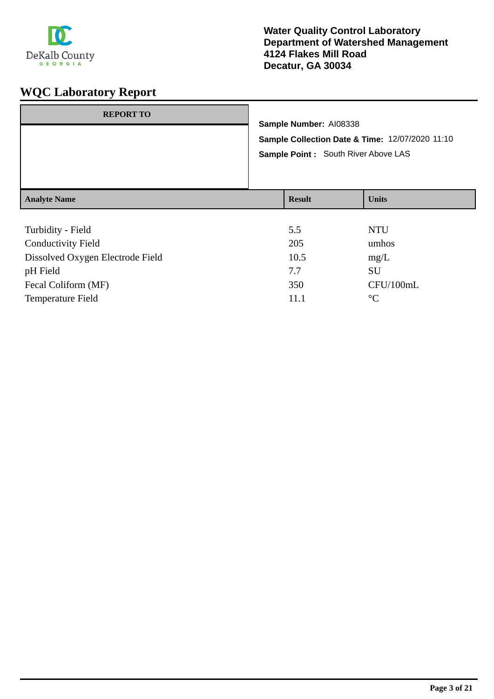

| <b>REPORT TO</b>    | Sample Number: AI08338<br>Sample Point : South River Above LAS | Sample Collection Date & Time: 12/07/2020 11:10 |
|---------------------|----------------------------------------------------------------|-------------------------------------------------|
| <b>Analyte Name</b> | <b>Result</b>                                                  | <b>Units</b>                                    |
|                     |                                                                |                                                 |

| Turbidity - Field                | 5.5  | <b>NTU</b>      |
|----------------------------------|------|-----------------|
| <b>Conductivity Field</b>        | 205  | umhos           |
| Dissolved Oxygen Electrode Field | 10.5 | mg/L            |
| pH Field                         | 7.7  | SU              |
| Fecal Coliform (MF)              | 350  | CFU/100mL       |
| <b>Temperature Field</b>         | 11.1 | $\rm ^{\circ}C$ |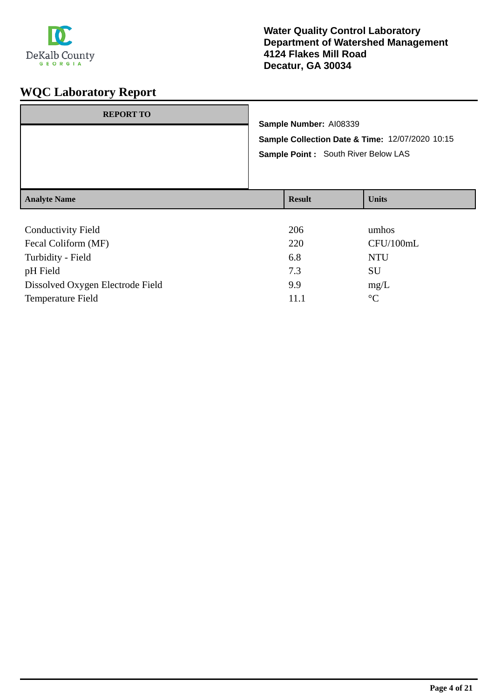

| <b>REPORT TO</b>                       | Sample Number: AI08339<br>Sample Collection Date & Time: 12/07/2020 10:15<br>Sample Point: South River Below LAS |               |              |
|----------------------------------------|------------------------------------------------------------------------------------------------------------------|---------------|--------------|
| <b>Analyte Name</b>                    |                                                                                                                  | <b>Result</b> | <b>Units</b> |
| $\alpha$ 1 $\beta$ $\beta$ $\gamma$ 11 |                                                                                                                  | $\Delta 0$    |              |

| <b>Conductivity Field</b>        | 206  | umhos           |
|----------------------------------|------|-----------------|
| Fecal Coliform (MF)              | 220  | CFU/100mL       |
| Turbidity - Field                | 6.8  | <b>NTU</b>      |
| pH Field                         | 7.3  | SU              |
| Dissolved Oxygen Electrode Field | 9.9  | mg/L            |
| Temperature Field                | 11.1 | $\rm ^{\circ}C$ |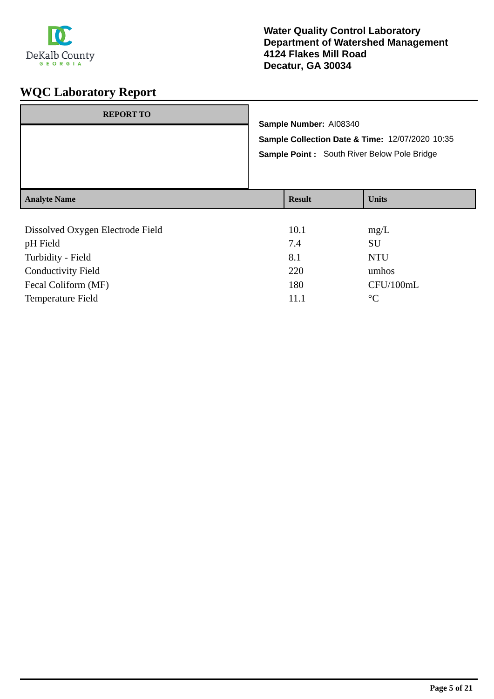

| <b>REPORT TO</b>    |                                                                                                | Sample Number: AI08340 |              |
|---------------------|------------------------------------------------------------------------------------------------|------------------------|--------------|
|                     | Sample Collection Date & Time: 12/07/2020 10:35<br>Sample Point: South River Below Pole Bridge |                        |              |
| <b>Analyte Name</b> |                                                                                                | <b>Result</b>          | <b>Units</b> |
|                     |                                                                                                |                        |              |

| Dissolved Oxygen Electrode Field | 10.1 | mg/L            |
|----------------------------------|------|-----------------|
| pH Field                         | 7.4  | <b>SU</b>       |
| Turbidity - Field                | 8.1  | <b>NTU</b>      |
| <b>Conductivity Field</b>        | 220  | umhos           |
| Fecal Coliform (MF)              | 180  | CFU/100mL       |
| Temperature Field                | 11.1 | $\rm ^{\circ}C$ |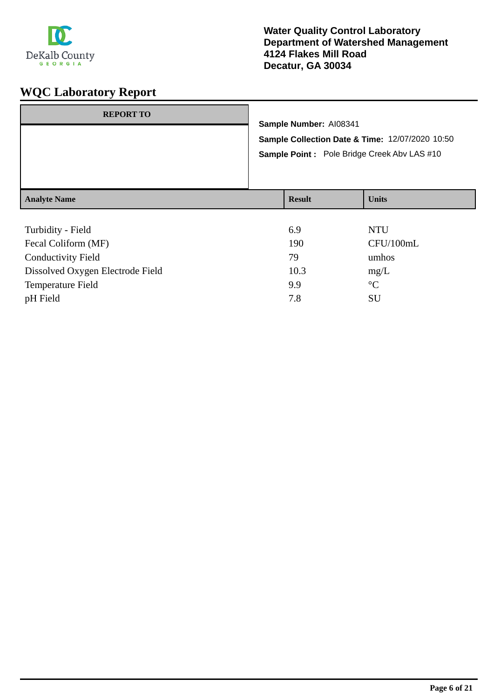

| <b>REPORT TO</b>    | Sample Number: AI08341 | Sample Collection Date & Time: 12/07/2020 10:50<br>Sample Point: Pole Bridge Creek Abv LAS #10 |
|---------------------|------------------------|------------------------------------------------------------------------------------------------|
| <b>Analyte Name</b> | <b>Result</b>          | <b>Units</b>                                                                                   |
|                     |                        |                                                                                                |

| Turbidity - Field                | 6.9  | <b>NTU</b>      |
|----------------------------------|------|-----------------|
| Fecal Coliform (MF)              | 190  | CFU/100mL       |
| <b>Conductivity Field</b>        | 79   | umhos           |
| Dissolved Oxygen Electrode Field | 10.3 | mg/L            |
| Temperature Field                | 9.9  | $\rm ^{\circ}C$ |
| pH Field                         | 7.8  | SU              |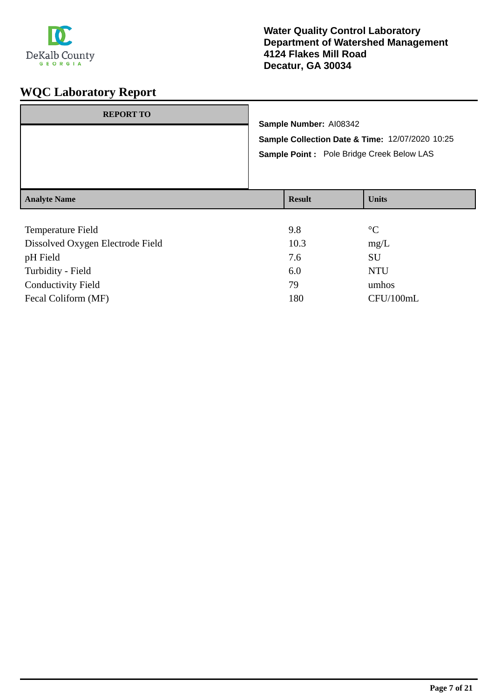

| <b>REPORT TO</b>    |                                                                                               | Sample Number: AI08342 |              |
|---------------------|-----------------------------------------------------------------------------------------------|------------------------|--------------|
|                     | Sample Collection Date & Time: 12/07/2020 10:25<br>Sample Point : Pole Bridge Creek Below LAS |                        |              |
| <b>Analyte Name</b> |                                                                                               | <b>Result</b>          | <b>Units</b> |

| 9.8  | $\rm ^{\circ}C$ |
|------|-----------------|
| 10.3 | mg/L            |
| 7.6  | SU              |
| 6.0  | <b>NTU</b>      |
| 79   | umhos           |
| 180  | CFU/100mL       |
|      |                 |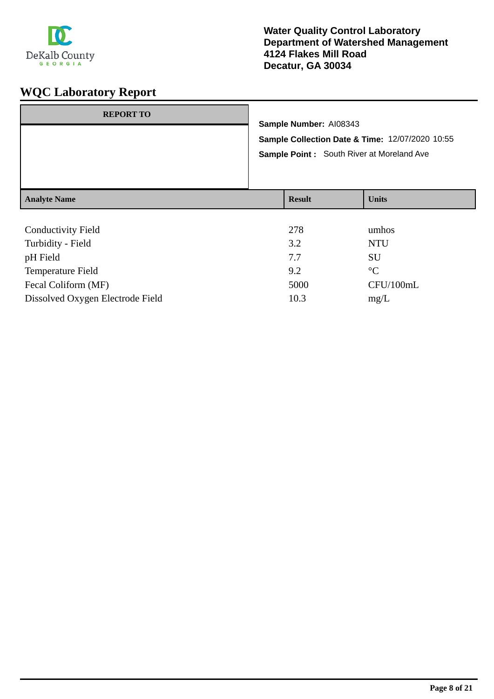

| <b>REPORT TO</b>          |                                                                           |                                                  |              |
|---------------------------|---------------------------------------------------------------------------|--------------------------------------------------|--------------|
|                           | Sample Number: AI08343<br>Sample Collection Date & Time: 12/07/2020 10:55 |                                                  |              |
|                           |                                                                           |                                                  |              |
|                           |                                                                           | <b>Sample Point:</b> South River at Moreland Ave |              |
|                           |                                                                           |                                                  |              |
|                           |                                                                           |                                                  |              |
| <b>Analyte Name</b>       |                                                                           | <b>Result</b>                                    | <b>Units</b> |
|                           |                                                                           |                                                  |              |
| <b>Conductivity Field</b> |                                                                           | 278                                              | umhos        |

| 210  | umuus           |
|------|-----------------|
| 3.2  | <b>NTU</b>      |
| 7.7  | SU              |
| 9.2  | $\rm ^{\circ}C$ |
| 5000 | CFU/100mL       |
| 10.3 | mg/L            |
|      |                 |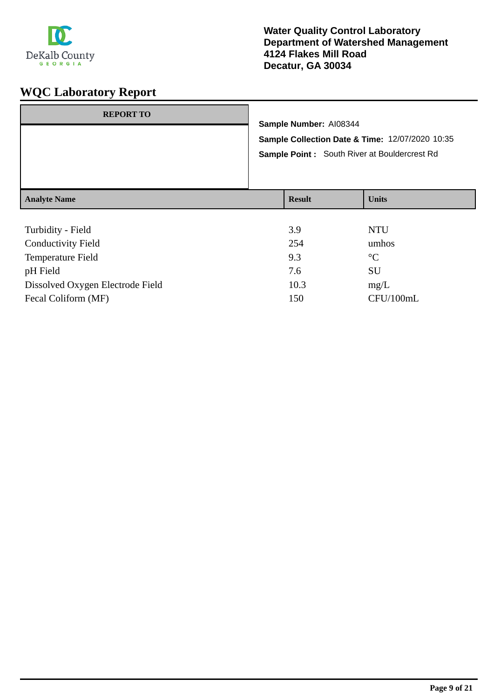

| <b>REPORT TO</b>    | Sample Number: AI08344<br>Sample Point : South River at Bouldercrest Rd | Sample Collection Date & Time: 12/07/2020 10:35 |
|---------------------|-------------------------------------------------------------------------|-------------------------------------------------|
| <b>Analyte Name</b> | <b>Result</b>                                                           | <b>Units</b>                                    |
|                     |                                                                         |                                                 |

| Turbidity - Field                | 3.9  | <b>NTU</b>      |
|----------------------------------|------|-----------------|
| <b>Conductivity Field</b>        | 254  | umhos           |
| <b>Temperature Field</b>         | 9.3  | $\rm ^{\circ}C$ |
| pH Field                         | 7.6  | <b>SU</b>       |
| Dissolved Oxygen Electrode Field | 10.3 | mg/L            |
| Fecal Coliform (MF)              | 150  | CFU/100mL       |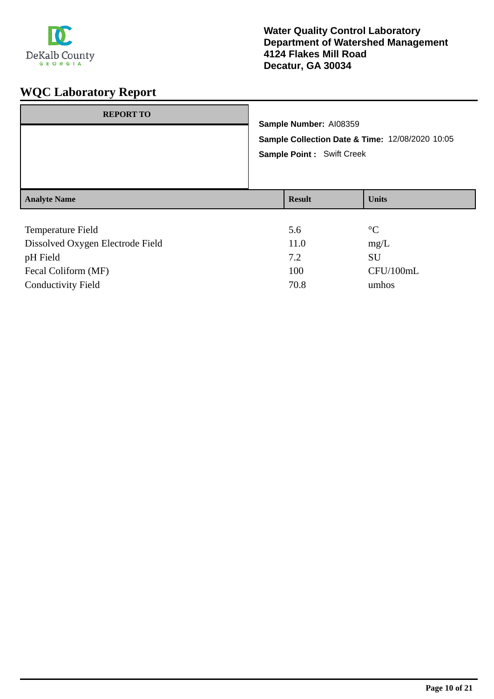

| <b>REPORT TO</b>    | Sample Number: AI08359<br>Sample Collection Date & Time: 12/08/2020 10:05<br><b>Sample Point: Swift Creek</b> |               |                 |
|---------------------|---------------------------------------------------------------------------------------------------------------|---------------|-----------------|
| <b>Analyte Name</b> |                                                                                                               | <b>Result</b> | <b>Units</b>    |
| Temperature Field   |                                                                                                               | 5.6           | $\rm ^{\circ}C$ |

| mg/L      |
|-----------|
| SU        |
| CFU/100mL |
| umhos     |
|           |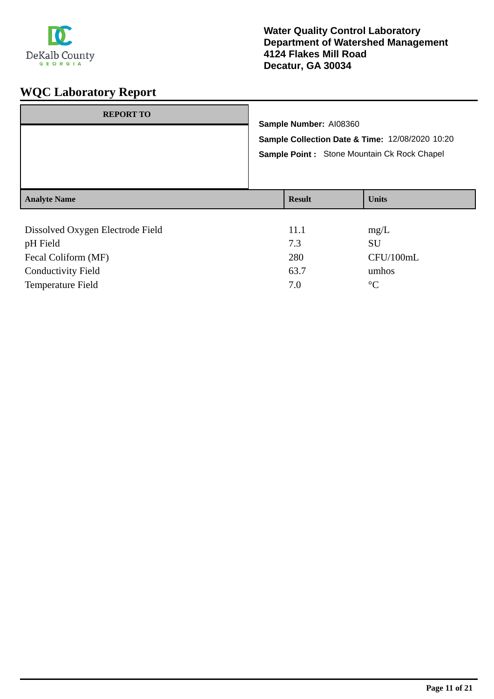

| <b>REPORT TO</b>                             | Sample Number: AI08360<br>Sample Collection Date & Time: 12/08/2020 10:20<br>Sample Point : Stone Mountain Ck Rock Chapel |                    |  |
|----------------------------------------------|---------------------------------------------------------------------------------------------------------------------------|--------------------|--|
| <b>Analyte Name</b>                          | <b>Result</b>                                                                                                             | <b>Units</b>       |  |
| Dissolved Oxygen Electrode Field<br>nU Eiold | 11.1<br>72                                                                                                                | mg/L<br><b>CTT</b> |  |

| pH Field                  | 7.3  | SU        |
|---------------------------|------|-----------|
| Fecal Coliform (MF)       | 280  | CFU/100mL |
| <b>Conductivity Field</b> | 63.7 | umhos     |
| Temperature Field         | 7.0  | $\circ$ C |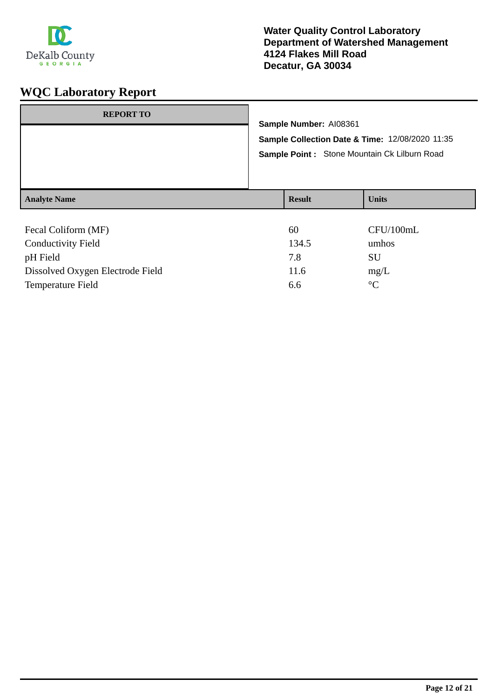

| <b>REPORT TO</b>          | Sample Number: AI08361<br>Sample Collection Date & Time: 12/08/2020 11:35<br>Sample Point: Stone Mountain Ck Lilburn Road |              |  |
|---------------------------|---------------------------------------------------------------------------------------------------------------------------|--------------|--|
| <b>Analyte Name</b>       | <b>Result</b>                                                                                                             | <b>Units</b> |  |
|                           |                                                                                                                           |              |  |
|                           |                                                                                                                           |              |  |
| Fecal Coliform (MF)       | 60                                                                                                                        | CFU/100mL    |  |
| <b>Conductivity Field</b> | 134.5                                                                                                                     | umhos        |  |
| pH Field                  | 7.8                                                                                                                       | SU           |  |

Temperature Field 6.6 °C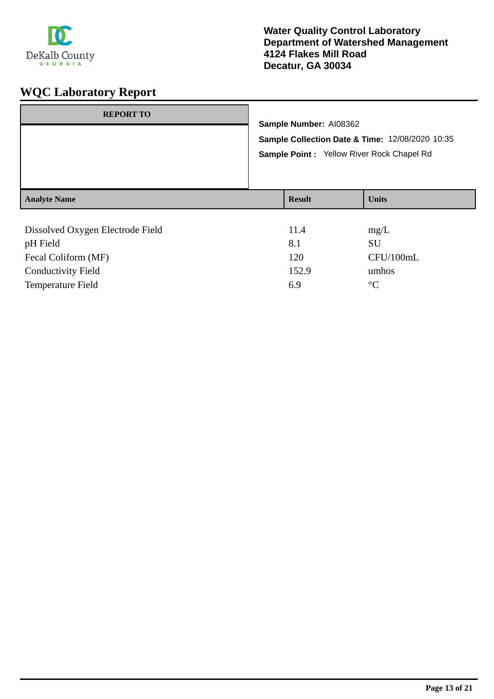

| <b>REPORT TO</b>                             | Sample Number: AI08362<br>Sample Collection Date & Time: 12/08/2020 10:35<br>Sample Point: Yellow River Rock Chapel Rd |               |                   |
|----------------------------------------------|------------------------------------------------------------------------------------------------------------------------|---------------|-------------------|
| <b>Analyte Name</b>                          |                                                                                                                        | <b>Result</b> | <b>Units</b>      |
| Dissolved Oxygen Electrode Field<br>pH Field |                                                                                                                        | 11.4<br>8.1   | mg/L<br><b>SU</b> |

Fecal Coliform (MF) 120 CFU/100mL Conductivity Field 152.9 umhos Temperature Field 6.9 °C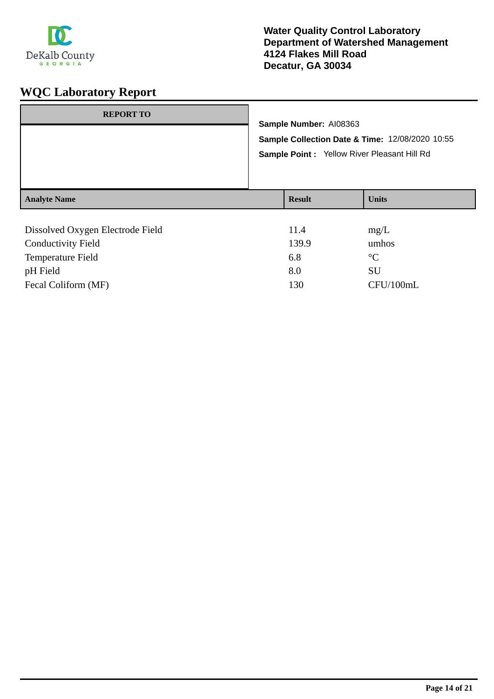

| <b>REPORT TO</b>                 |                        |                                                 |  |
|----------------------------------|------------------------|-------------------------------------------------|--|
|                                  | Sample Number: AI08363 |                                                 |  |
|                                  |                        | Sample Collection Date & Time: 12/08/2020 10:55 |  |
|                                  |                        | Sample Point : Yellow River Pleasant Hill Rd    |  |
|                                  |                        |                                                 |  |
|                                  |                        |                                                 |  |
| <b>Analyte Name</b>              | <b>Result</b>          | <b>Units</b>                                    |  |
|                                  |                        |                                                 |  |
| Dissolved Oxygen Electrode Field | 11.4                   | mg/L                                            |  |
| <b>Conductivity Field</b>        | 139.9                  | umhos                                           |  |

| Conductivity Field       | 139.9 | umhos       |
|--------------------------|-------|-------------|
| <b>Temperature Field</b> | 6.8   | $^{\circ}C$ |
| pH Field                 | 8.0   | SU          |
| Fecal Coliform (MF)      | 130   | CFU/100mL   |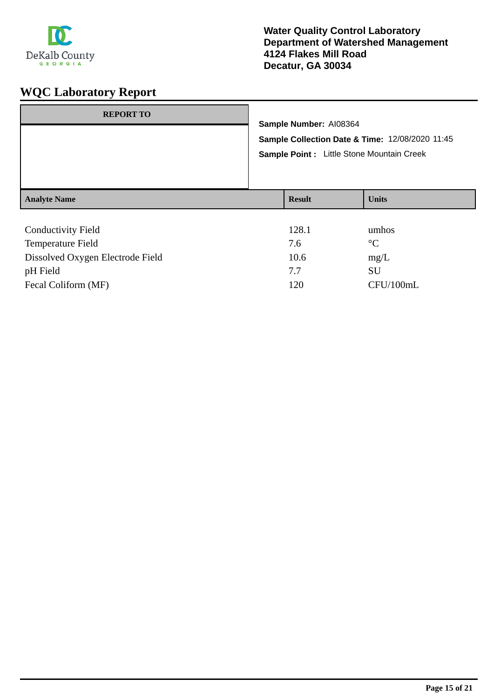

| <b>REPORT TO</b>          | Sample Number: AI08364<br>Sample Collection Date & Time: 12/08/2020 11:45<br>Sample Point : Little Stone Mountain Creek |               |              |
|---------------------------|-------------------------------------------------------------------------------------------------------------------------|---------------|--------------|
| <b>Analyte Name</b>       |                                                                                                                         | <b>Result</b> | <b>Units</b> |
| <b>Conductivity Field</b> |                                                                                                                         | 128.1         | umhos        |

| 120.1 | umuvo           |
|-------|-----------------|
| 7.6   | $\rm ^{\circ}C$ |
| 10.6  | mg/L            |
| 77    | SU              |
| 120   | CFU/100mL       |
|       |                 |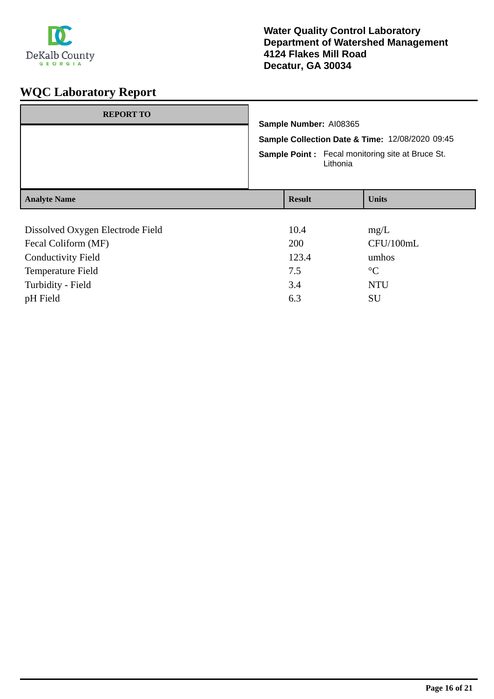

| <b>REPORT TO</b>                 | Sample Number: AI08365<br>Sample Collection Date & Time: 12/08/2020 09:45<br><b>Sample Point:</b> Fecal monitoring site at Bruce St.<br>Lithonia |               |                 |
|----------------------------------|--------------------------------------------------------------------------------------------------------------------------------------------------|---------------|-----------------|
| <b>Analyte Name</b>              |                                                                                                                                                  | <b>Result</b> | <b>Units</b>    |
|                                  |                                                                                                                                                  |               |                 |
| Dissolved Oxygen Electrode Field |                                                                                                                                                  | 10.4          | mg/L            |
| Fecal Coliform (MF)              |                                                                                                                                                  | 200           | CFU/100mL       |
| <b>Conductivity Field</b>        |                                                                                                                                                  | 123.4         | umhos           |
| Temperature Field                |                                                                                                                                                  | 7.5           | $\rm ^{\circ}C$ |
| Turbidity - Field                |                                                                                                                                                  | 3.4           | <b>NTU</b>      |
| pH Field                         |                                                                                                                                                  | 6.3           | SU              |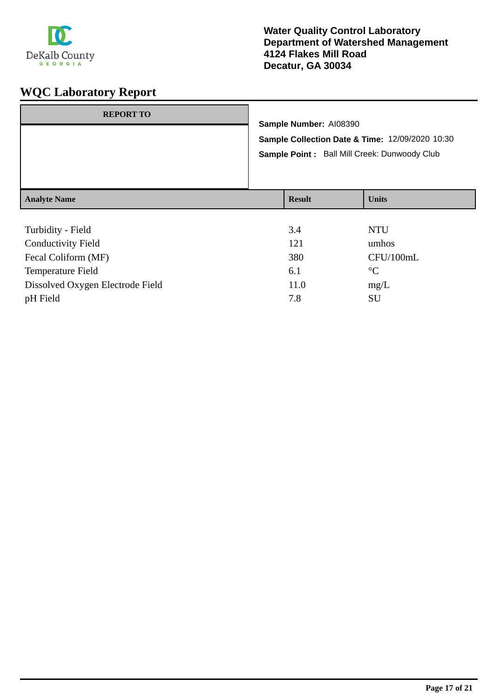

| <b>REPORT TO</b>    | Sample Number: AI08390<br>Sample Collection Date & Time: 12/09/2020 10:30<br>Sample Point: Ball Mill Creek: Dunwoody Club |                  |               |
|---------------------|---------------------------------------------------------------------------------------------------------------------------|------------------|---------------|
| <b>Analyte Name</b> |                                                                                                                           | <b>Result</b>    | <b>Units</b>  |
| $T = 1.11$          |                                                                                                                           | $\sim$ $\lambda$ | <b>NITTIT</b> |

| Turbidity - Field                | 3.4  | <b>NTU</b>      |
|----------------------------------|------|-----------------|
| <b>Conductivity Field</b>        | 121  | umhos           |
| Fecal Coliform (MF)              | 380  | CFU/100mL       |
| Temperature Field                | 6.1  | $\rm ^{\circ}C$ |
| Dissolved Oxygen Electrode Field | 11.0 | mg/L            |
| pH Field                         | 7.8  | SU              |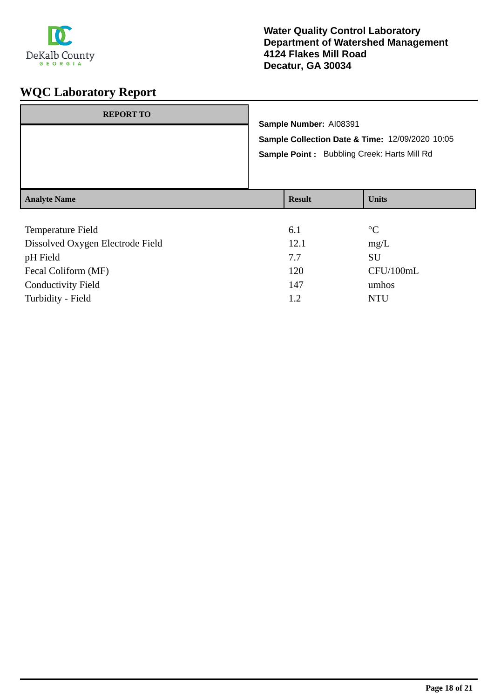

| <b>Result</b><br><b>Units</b> | <b>REPORT TO</b>    | Sample Number: AI08391<br>Sample Point: Bubbling Creek: Harts Mill Rd | Sample Collection Date & Time: 12/09/2020 10:05 |
|-------------------------------|---------------------|-----------------------------------------------------------------------|-------------------------------------------------|
|                               | <b>Analyte Name</b> |                                                                       |                                                 |

| Temperature Field                | 6.1  | $\rm ^{\circ}C$ |
|----------------------------------|------|-----------------|
| Dissolved Oxygen Electrode Field | 12.1 | mg/L            |
| pH Field                         | 7.7  | SU              |
| Fecal Coliform (MF)              | 120  | CFU/100mL       |
| <b>Conductivity Field</b>        | 147  | umhos           |
| Turbidity - Field                | 1.2  | <b>NTU</b>      |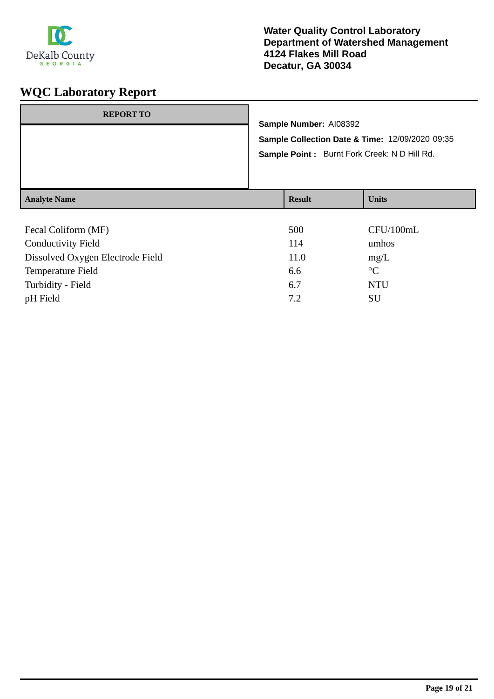

| <b>REPORT TO</b>                            |                                                                                                                           |              |
|---------------------------------------------|---------------------------------------------------------------------------------------------------------------------------|--------------|
|                                             | Sample Number: AI08392<br>Sample Collection Date & Time: 12/09/2020 09:35<br>Sample Point: Burnt Fork Creek: N D Hill Rd. |              |
| <b>Analyte Name</b>                         | <b>Result</b>                                                                                                             | <b>Units</b> |
| $F_{\alpha}$ $C_{\alpha}$ $F_{\alpha}$ (ME) | 500.                                                                                                                      | CETI/100mI   |

| Fecal Coliform (MF)              | 500  | CFU/100mL       |
|----------------------------------|------|-----------------|
| <b>Conductivity Field</b>        | 114  | umhos           |
| Dissolved Oxygen Electrode Field | 11.0 | mg/L            |
| Temperature Field                | 6.6  | $\rm ^{\circ}C$ |
| Turbidity - Field                | 6.7  | <b>NTU</b>      |
| pH Field                         | 7.2  | <b>SU</b>       |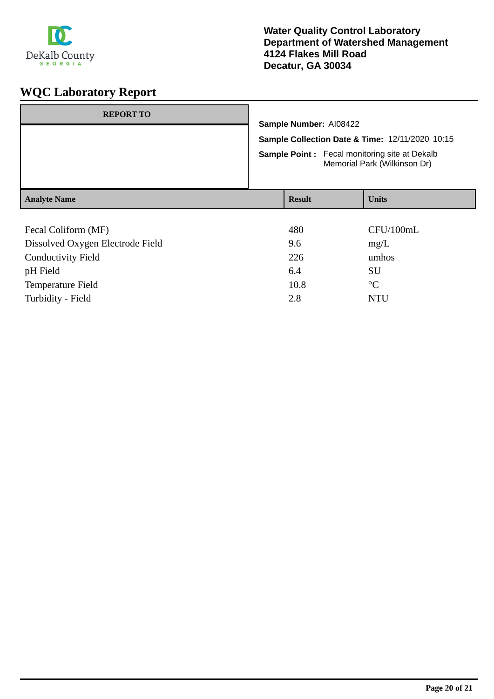

| <b>REPORT TO</b>                 |                                                                                      |  |              |
|----------------------------------|--------------------------------------------------------------------------------------|--|--------------|
|                                  | Sample Number: AI08422                                                               |  |              |
|                                  | Sample Collection Date & Time: 12/11/2020 10:15                                      |  |              |
|                                  | <b>Sample Point:</b> Fecal monitoring site at Dekalb<br>Memorial Park (Wilkinson Dr) |  |              |
| <b>Analyte Name</b>              | <b>Result</b>                                                                        |  | <b>Units</b> |
|                                  |                                                                                      |  |              |
| Fecal Coliform (MF)              | 480                                                                                  |  | CFU/100mL    |
| Dissolved Oxygen Electrode Field | 9.6                                                                                  |  | mg/L         |

| Dissolved OAygen Literature Field | ,,,, | $\mathbf{H}(\mathbf{z})$ |
|-----------------------------------|------|--------------------------|
| <b>Conductivity Field</b>         | 226  | umhos                    |
| pH Field                          | 6.4  | SU                       |
| Temperature Field                 | 10.8 | $^{\circ}C$              |
| Turbidity - Field                 | 2.8  | NTH                      |